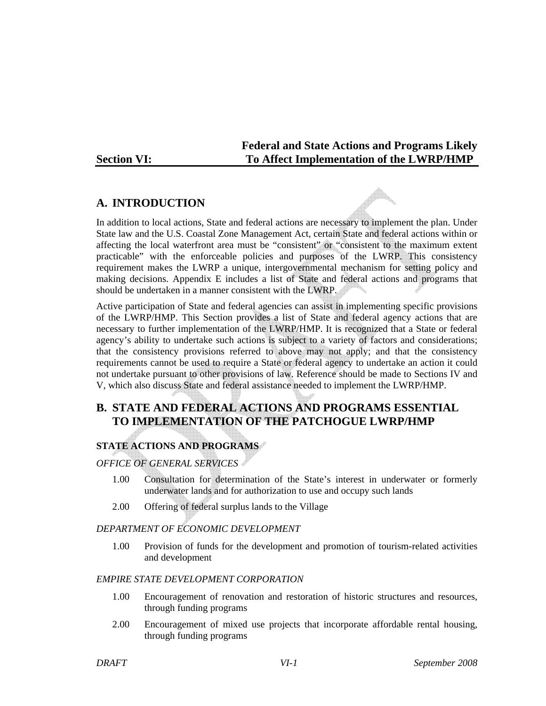**Federal and State Actions and Programs Likely**  Section VI: To Affect Implementation of the LWRP/HMP

# **A. INTRODUCTION**

In addition to local actions, State and federal actions are necessary to implement the plan. Under State law and the U.S. Coastal Zone Management Act, certain State and federal actions within or affecting the local waterfront area must be "consistent" or "consistent to the maximum extent practicable" with the enforceable policies and purposes of the LWRP. This consistency requirement makes the LWRP a unique, intergovernmental mechanism for setting policy and making decisions. Appendix E includes a list of State and federal actions and programs that should be undertaken in a manner consistent with the LWRP.

Active participation of State and federal agencies can assist in implementing specific provisions of the LWRP/HMP. This Section provides a list of State and federal agency actions that are necessary to further implementation of the LWRP/HMP. It is recognized that a State or federal agency's ability to undertake such actions is subject to a variety of factors and considerations; that the consistency provisions referred to above may not apply; and that the consistency requirements cannot be used to require a State or federal agency to undertake an action it could not undertake pursuant to other provisions of law. Reference should be made to Sections IV and V, which also discuss State and federal assistance needed to implement the LWRP/HMP.

# **B. STATE AND FEDERAL ACTIONS AND PROGRAMS ESSENTIAL TO IMPLEMENTATION OF THE PATCHOGUE LWRP/HMP**

# **STATE ACTIONS AND PROGRAMS**

*OFFICE OF GENERAL SERVICES*

- 1.00 Consultation for determination of the State's interest in underwater or formerly underwater lands and for authorization to use and occupy such lands
- 2.00 Offering of federal surplus lands to the Village

# *DEPARTMENT OF ECONOMIC DEVELOPMENT*

1.00 Provision of funds for the development and promotion of tourism-related activities and development

## *EMPIRE STATE DEVELOPMENT CORPORATION*

- 1.00 Encouragement of renovation and restoration of historic structures and resources, through funding programs
- 2.00 Encouragement of mixed use projects that incorporate affordable rental housing, through funding programs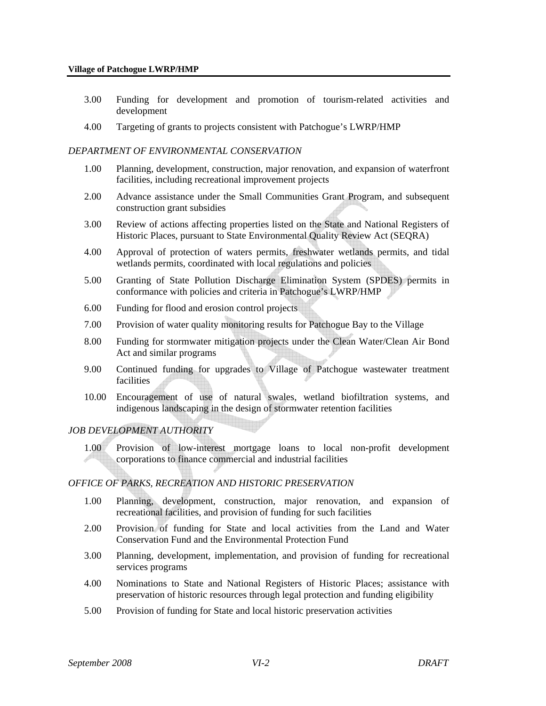- 3.00 Funding for development and promotion of tourism-related activities and development
- 4.00 Targeting of grants to projects consistent with Patchogue's LWRP/HMP

#### *DEPARTMENT OF ENVIRONMENTAL CONSERVATION*

- 1.00 Planning, development, construction, major renovation, and expansion of waterfront facilities, including recreational improvement projects
- 2.00 Advance assistance under the Small Communities Grant Program, and subsequent construction grant subsidies
- 3.00 Review of actions affecting properties listed on the State and National Registers of Historic Places, pursuant to State Environmental Quality Review Act (SEQRA)
- 4.00 Approval of protection of waters permits, freshwater wetlands permits, and tidal wetlands permits, coordinated with local regulations and policies
- 5.00 Granting of State Pollution Discharge Elimination System (SPDES) permits in conformance with policies and criteria in Patchogue's LWRP/HMP
- 6.00 Funding for flood and erosion control projects
- 7.00 Provision of water quality monitoring results for Patchogue Bay to the Village
- 8.00 Funding for stormwater mitigation projects under the Clean Water/Clean Air Bond Act and similar programs
- 9.00 Continued funding for upgrades to Village of Patchogue wastewater treatment facilities
- 10.00 Encouragement of use of natural swales, wetland biofiltration systems, and indigenous landscaping in the design of stormwater retention facilities

#### *JOB DEVELOPMENT AUTHORITY*

1.00 Provision of low-interest mortgage loans to local non-profit development corporations to finance commercial and industrial facilities

#### *OFFICE OF PARKS, RECREATION AND HISTORIC PRESERVATION*

- 1.00 Planning, development, construction, major renovation, and expansion of recreational facilities, and provision of funding for such facilities
- 2.00 Provision of funding for State and local activities from the Land and Water Conservation Fund and the Environmental Protection Fund
- 3.00 Planning, development, implementation, and provision of funding for recreational services programs
- 4.00 Nominations to State and National Registers of Historic Places; assistance with preservation of historic resources through legal protection and funding eligibility
- 5.00 Provision of funding for State and local historic preservation activities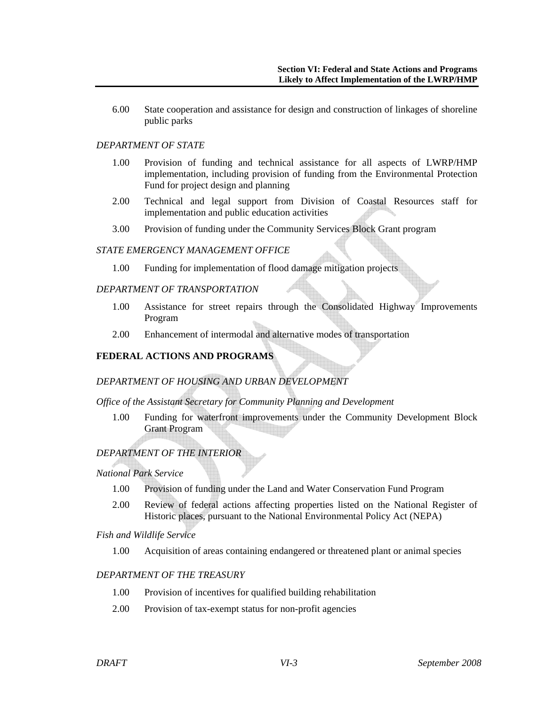6.00 State cooperation and assistance for design and construction of linkages of shoreline public parks

## *DEPARTMENT OF STATE*

- 1.00 Provision of funding and technical assistance for all aspects of LWRP/HMP implementation, including provision of funding from the Environmental Protection Fund for project design and planning
- 2.00 Technical and legal support from Division of Coastal Resources staff for implementation and public education activities
- 3.00 Provision of funding under the Community Services Block Grant program

## *STATE EMERGENCY MANAGEMENT OFFICE*

1.00 Funding for implementation of flood damage mitigation projects

## *DEPARTMENT OF TRANSPORTATION*

- 1.00 Assistance for street repairs through the Consolidated Highway Improvements Program
- 2.00 Enhancement of intermodal and alternative modes of transportation

## **FEDERAL ACTIONS AND PROGRAMS**

# *DEPARTMENT OF HOUSING AND URBAN DEVELOPMENT*

## *Office of the Assistant Secretary for Community Planning and Development*

1.00 Funding for waterfront improvements under the Community Development Block Grant Program

# *DEPARTMENT OF THE INTERIOR*

#### *National Park Service*

- 1.00 Provision of funding under the Land and Water Conservation Fund Program
- 2.00 Review of federal actions affecting properties listed on the National Register of Historic places, pursuant to the National Environmental Policy Act (NEPA)

#### *Fish and Wildlife Service*

1.00 Acquisition of areas containing endangered or threatened plant or animal species

#### *DEPARTMENT OF THE TREASURY*

- 1.00 Provision of incentives for qualified building rehabilitation
- 2.00 Provision of tax-exempt status for non-profit agencies